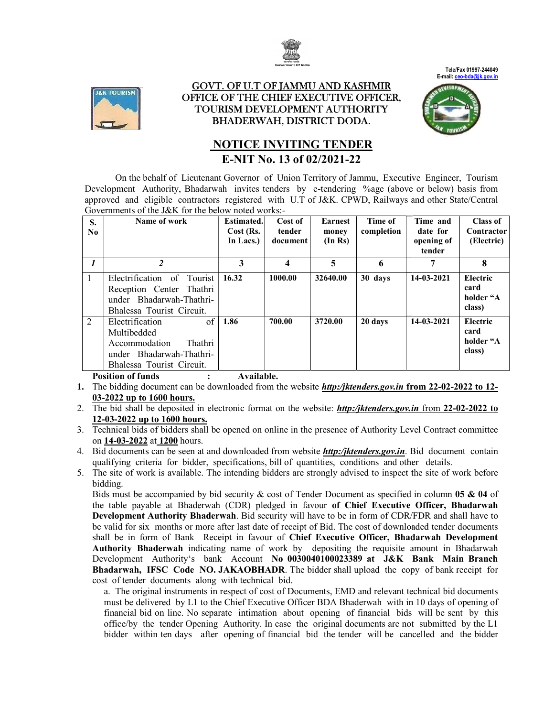



# GOVT. OF U.T OFFICE OF THE CHIEF EXECUTIVE OFFICER, **GOVT. OF U.T OF JAMMU AND KASHMIR<br>FICE OF THE CHIEF EXECUTIVE OFFICER, TOURISM DEVELOPMENT AUTHORITY** BHADERWAH, DISTRICT DODA.



Tele/Fax 01997-244049

# NOTICE INVITING TENDER E-NIT No. 13 of 02/2021-22

On the behalf of Lieutenant Governor of Union Territory of Jammu, Executive Engineer, Tourism On the behalf of Lieutenant Governor of Union Territory of Jammu, Executive Engineer, Tourism<br>Development Authority, Bhadarwah invites tenders by e-tendering %age (above or below) basis from approved and eligible contractors registered with U.T of J&K. CPWD, Railways and other State/Central Governments of the J&K for the below noted works:-

| S.<br>No. | Name of work                                                                                                              | Estimated.<br>Cost (Rs.<br>In Lacs.) | Cost of<br>tender<br>document | Earnest<br>money<br>(In Rs) | Time of<br>completion | Time and<br>date for<br>opening of<br>tender | <b>Class of</b><br>Contractor<br>(Electric) |
|-----------|---------------------------------------------------------------------------------------------------------------------------|--------------------------------------|-------------------------------|-----------------------------|-----------------------|----------------------------------------------|---------------------------------------------|
|           | $\overline{2}$                                                                                                            | 3                                    | 4                             | 5                           | 6                     | 7                                            | 8                                           |
|           | Electrification of Tourist<br>Reception Center Thathri<br>under Bhadarwah-Thathri-<br>Bhalessa Tourist Circuit.           | 16.32                                | 1000.00                       | 32640.00                    | 30 days               | 14-03-2021                                   | Electric<br>card<br>holder "A<br>class)     |
| 2         | of<br>Electrification<br>Multibedded<br>Thathri<br>Accommodation<br>under Bhadarwah-Thathri-<br>Bhalessa Tourist Circuit. | 1.86                                 | 700.00                        | 3720.00                     | 20 days               | 14-03-2021                                   | Electric<br>card<br>holder "A<br>class)     |

Position of funds : Available.

- 1. The bidding document can be downloaded from the website *http:/jktenders.gov.in* from 22-02-2022 to 12-03-2022 up to 1600 hours.
- 2. The bid shall be deposited in electronic format on the website: **http:/jktenders.gov.in** from 22-02-2022 to 12-03-2022 up to 1600 hours.
- 3. Technical bids of bidders shall be opened on online in the presence of Authority Level Contract committee on 14-03-2022 at 1200 hours.
- 4. Bid documents can be seen at and downloaded from website **http:/jktenders.gov.in**. Bid document contain qualifying criteria for bidder, specifications, bill of quantities, conditions and other details.
- 5. The site of work is available. The intending bidders are strongly advised to inspect the site of work before bidding. criteria for bidder, specifications, bill of quantities, conditions and other details.<br>work is available. The intending bidders are strongly advised to inspect the site of work before<br>be accompanied by bid security & cost

Bids must be accompanied by bid security & cost of Tender Document as specified in column 05 & 04 of the table payable at Bhaderwah (CDR) pledged in favour of Chief Executive Officer, Bhadarwah Development Authority Bhaderwah. Bid security will have to be in form of CDR/FDR and shall have to **Development Authority Bhaderwah**. Bid security will have to be in form of CDR/FDR and shall have to be valid for six months or more after last date of receipt of Bid. The cost of downloaded tender documents shall be in form of Bank Receipt in favour of Chief Executive Officer, Bhadarwah Development Authority Bhaderwah indicating name of work by depositing the requisite amount in Bhadarwah Development Authority's bank Account No 0030040100023389 at J&K Bank Main Branch **Bhadarwah, IFSC Code NO. JAKAOBHADR**. The bidder shall upload the copy of bank receipt for cost of tender documents along with technical bid.

a. The original instruments in respect of cost of Documents, EMD and relevant technical bid documents must be delivered by L1 to the Chief Executive Officer BDA Bhaderwah with in 10 days of opening of financial bid on line. No separate intimation about opening of financial bids will be sent by this office/by the tender Opening Authority. In case the original documents are not submitted by the L1 bidder within ten days after opening of financial bid the tender will be cancelled and the bidder **Shadarwah, IFSC Code NO. JAKAOBHADR**. The bidder shall upload the copy of bank receipt for ost of tender documents along with technical bid.<br>
a. The original instruments in respect of cost of Documents, EMD and relevant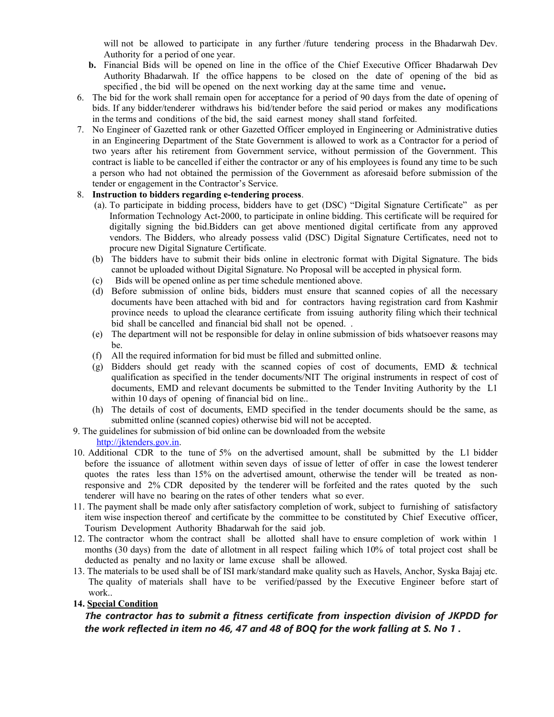will not be allowed to participate in any further /future tendering process in the Bhadarwah Dev. Authority for a period of one year.

- b. Financial Bids will be opened on line in the office of the Chief Executive Officer Bhadarwah Dev Authority Bhadarwah. If the office happens to be closed on the date of opening of the bid as specified , the bid will be opened on the next working day at the same time and venue.
- 6. The bid for the work shall remain open for acceptance for a period of 90 days from the date of opening of bids. If any bidder/tenderer withdraws his bid/tender before the said period or makes any modifications in the terms and conditions of the bid, the said earnest money shall stand forfeited.
- 7. No Engineer of Gazetted rank or other Gazetted Officer employed in Engineering or Administrative duties in an Engineering Department of the State Government is allowed to work as a Contractor for a period of two years after his retirement from Government service, without permission of the Government. This contract is liable to be cancelled if either the contractor or any of his employees is found any time to be such a person who had not obtained the permission of the Government as aforesaid before submission of the tender or engagement in the Contractor's Service.

#### 8. Instruction to bidders regarding e-tendering process.

- (a). To participate in bidding process, bidders have to get (DSC) "Digital Signature Certificate" as per Information Technology Act-2000, to participate in online bidding. This certificate will be required for digitally signing the bid.Bidders can get above mentioned digital certificate from any approved vendors. The Bidders, who already possess valid (DSC) Digital Signature Certificates, need not to procure new Digital Signature Certificate.
- (b) The bidders have to submit their bids online in electronic format with Digital Signature. The bids cannot be uploaded without Digital Signature. No Proposal will be accepted in physical form.
- (c) Bids will be opened online as per time schedule mentioned above.
- (d) Before submission of online bids, bidders must ensure that scanned copies of all the necessary documents have been attached with bid and for contractors having registration card from Kashmir province needs to upload the clearance certificate from issuing authority filing which their technical bid shall be cancelled and financial bid shall not be opened. .
- (e) The department will not be responsible for delay in online submission of bids whatsoever reasons may be.
- (f) All the required information for bid must be filled and submitted online.
- (g) Bidders should get ready with the scanned copies of cost of documents, EMD & technical qualification as specified in the tender documents/NIT The original instruments in respect of cost of documents, EMD and relevant documents be submitted to the Tender Inviting Authority by the L1 within 10 days of opening of financial bid on line...
- (h) The details of cost of documents, EMD specified in the tender documents should be the same, as submitted online (scanned copies) otherwise bid will not be accepted.
- 9. The guidelines for submission of bid online can be downloaded from the website

http://jktenders.gov.in.

- 10. Additional CDR to the tune of 5% on the advertised amount, shall be submitted by the L1 bidder before the issuance of allotment within seven days of issue of letter of offer in case the lowest tenderer quotes the rates less than 15% on the advertised amount, otherwise the tender will be treated as nonresponsive and 2% CDR deposited by the tenderer will be forfeited and the rates quoted by the such tenderer will have no bearing on the rates of other tenders what so ever.
- 11. The payment shall be made only after satisfactory completion of work, subject to furnishing of satisfactory item wise inspection thereof and certificate by the committee to be constituted by Chief Executive officer, Tourism Development Authority Bhadarwah for the said job.
- 12. The contractor whom the contract shall be allotted shall have to ensure completion of work within 1 months (30 days) from the date of allotment in all respect failing which 10% of total project cost shall be deducted as penalty and no laxity or lame excuse shall be allowed.
- 13. The materials to be used shall be of ISI mark/standard make quality such as Havels, Anchor, Syska Bajaj etc. The quality of materials shall have to be verified/passed by the Executive Engineer before start of work..

#### 14. Special Condition

# The contractor has to submit a fitness certificate from inspection division of JKPDD for the work reflected in item no 46, 47 and 48 of BOQ for the work falling at S. No 1 .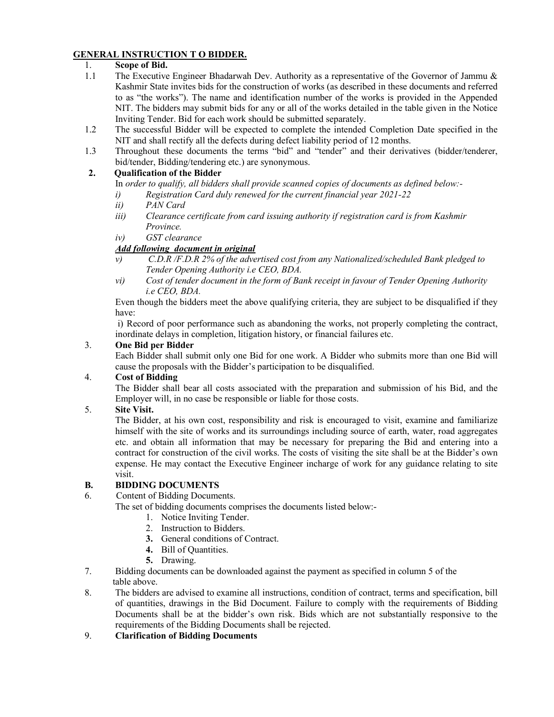# GENERAL INSTRUCTION T O BIDDER.

# 1. Scope of Bid.<br>1.1 The Executive

- The Executive Engineer Bhadarwah Dev. Authority as a representative of the Governor of Jammu  $\&$ Kashmir State invites bids for the construction of works (as described in these documents and referred to as "the works"). The name and identification number of the works is provided in the Appended NIT. The bidders may submit bids for any or all of the works detailed in the table given in the Notice Inviting Tender. Bid for each work should be submitted separately.
- 1.2 The successful Bidder will be expected to complete the intended Completion Date specified in the NIT and shall rectify all the defects during defect liability period of 12 months.
- 1.3 Throughout these documents the terms "bid" and "tender" and their derivatives (bidder/tenderer, bid/tender, Bidding/tendering etc.) are synonymous.

### 2. Qualification of the Bidder

In order to qualify, all bidders shall provide scanned copies of documents as defined below:-

- i) Registration Card duly renewed for the current financial year 2021-22
- ii) PAN Card
- iii) Clearance certificate from card issuing authority if registration card is from Kashmir Province.

iv) GST clearance

# Add following document in original

- $\overline{v}$  C.D.R /F.D.R 2% of the advertised cost from any Nationalized/scheduled Bank pledged to Tender Opening Authority i.e CEO, BDA.
- vi) Cost of tender document in the form of Bank receipt in favour of Tender Opening Authority i.e CEO, BDA.

 Even though the bidders meet the above qualifying criteria, they are subject to be disqualified if they have:

 i) Record of poor performance such as abandoning the works, not properly completing the contract, inordinate delays in completion, litigation history, or financial failures etc.

#### 3. One Bid per Bidder

Each Bidder shall submit only one Bid for one work. A Bidder who submits more than one Bid will cause the proposals with the Bidder's participation to be disqualified.

# 4. Cost of Bidding

The Bidder shall bear all costs associated with the preparation and submission of his Bid, and the Employer will, in no case be responsible or liable for those costs.

# 5. Site Visit.

The Bidder, at his own cost, responsibility and risk is encouraged to visit, examine and familiarize himself with the site of works and its surroundings including source of earth, water, road aggregates etc. and obtain all information that may be necessary for preparing the Bid and entering into a contract for construction of the civil works. The costs of visiting the site shall be at the Bidder's own expense. He may contact the Executive Engineer incharge of work for any guidance relating to site visit.

# B. BIDDING DOCUMENTS

6. Content of Bidding Documents.

The set of bidding documents comprises the documents listed below:-

- 1. Notice Inviting Tender.
- 2. Instruction to Bidders.
- 3. General conditions of Contract.
- 4. Bill of Quantities.
- 5. Drawing.
- 7. Bidding documents can be downloaded against the payment as specified in column 5 of the table above.
- 8. The bidders are advised to examine all instructions, condition of contract, terms and specification, bill of quantities, drawings in the Bid Document. Failure to comply with the requirements of Bidding Documents shall be at the bidder's own risk. Bids which are not substantially responsive to the requirements of the Bidding Documents shall be rejected.

# 9. Clarification of Bidding Documents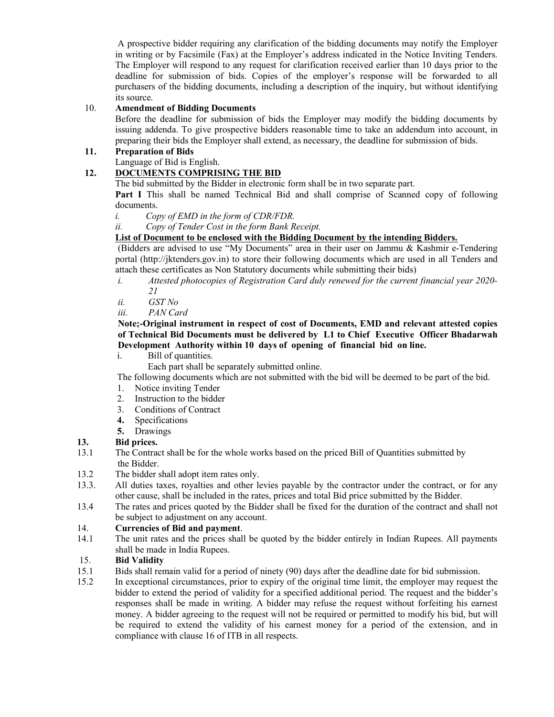A prospective bidder requiring any clarification of the bidding documents may notify the Employer in writing or by Facsimile (Fax) at the Employer's address indicated in the Notice Inviting Tenders. The Employer will respond to any request for clarification received earlier than 10 days prior to the deadline for submission of bids. Copies of the employer's response will be forwarded to all purchasers of the bidding documents, including a description of the inquiry, but without identifying its source.

#### 10. Amendment of Bidding Documents

Before the deadline for submission of bids the Employer may modify the bidding documents by issuing addenda. To give prospective bidders reasonable time to take an addendum into account, in preparing their bids the Employer shall extend, as necessary, the deadline for submission of bids.

# 11. Preparation of Bids

Language of Bid is English.

# 12. DOCUMENTS COMPRISING THE BID

The bid submitted by the Bidder in electronic form shall be in two separate part.

Part I This shall be named Technical Bid and shall comprise of Scanned copy of following documents.

i. Copy of EMD in the form of CDR/FDR.

ii. Copy of Tender Cost in the form Bank Receipt.

#### List of Document to be enclosed with the Bidding Document by the intending Bidders.

(Bidders are advised to use "My Documents" area in their user on Jammu & Kashmir e-Tendering portal (http://jktenders.gov.in) to store their following documents which are used in all Tenders and attach these certificates as Non Statutory documents while submitting their bids)

- i. Attested photocopies of Registration Card duly renewed for the current financial year 2020- 21
- ii. GST No
- iii. PAN Card

#### Note;-Original instrument in respect of cost of Documents, EMD and relevant attested copies of Technical Bid Documents must be delivered by L1 to Chief Executive Officer Bhadarwah Development Authority within 10 days of opening of financial bid on line.

- i. Bill of quantities.
	- Each part shall be separately submitted online.

The following documents which are not submitted with the bid will be deemed to be part of the bid.

- 1. Notice inviting Tender
- 2. Instruction to the bidder
- 3. Conditions of Contract
- 4. Specifications
- 5. Drawings

#### 13. Bid prices.

- 13.1 The Contract shall be for the whole works based on the priced Bill of Quantities submitted by the Bidder.
- 13.2 The bidder shall adopt item rates only.
- 13.3. All duties taxes, royalties and other levies payable by the contractor under the contract, or for any other cause, shall be included in the rates, prices and total Bid price submitted by the Bidder.
- 13.4 The rates and prices quoted by the Bidder shall be fixed for the duration of the contract and shall not be subject to adjustment on any account.

#### 14. Currencies of Bid and payment.

14.1 The unit rates and the prices shall be quoted by the bidder entirely in Indian Rupees. All payments shall be made in India Rupees.

#### 15. Bid Validity

- 15.1 Bids shall remain valid for a period of ninety (90) days after the deadline date for bid submission.
- 15.2 In exceptional circumstances, prior to expiry of the original time limit, the employer may request the bidder to extend the period of validity for a specified additional period. The request and the bidder's responses shall be made in writing. A bidder may refuse the request without forfeiting his earnest money. A bidder agreeing to the request will not be required or permitted to modify his bid, but will be required to extend the validity of his earnest money for a period of the extension, and in compliance with clause 16 of ITB in all respects.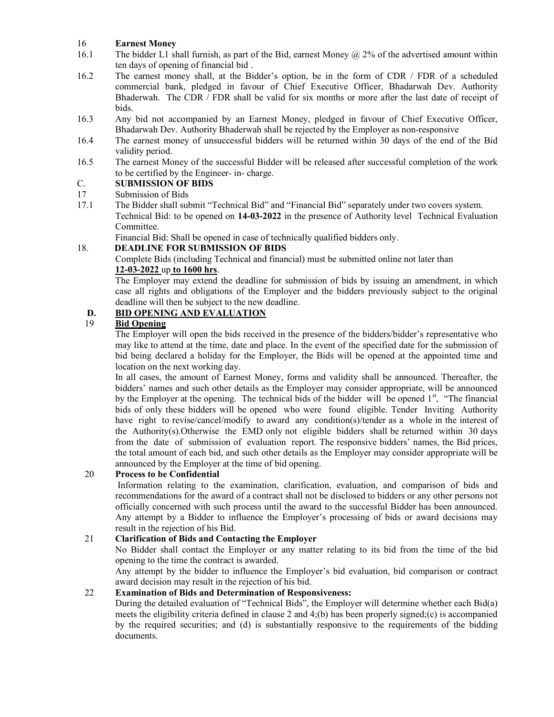# 16 Earnest Money

- 16.1 The bidder L1 shall furnish, as part of the Bid, earnest Money @ 2% of the advertised amount within ten days of opening of financial bid .
- 16.2 The earnest money shall, at the Bidder's option, be in the form of CDR / FDR of a scheduled commercial bank, pledged in favour of Chief Executive Officer, Bhadarwah Dev. Authority Bhaderwah. The CDR / FDR shall be valid for six months or more after the last date of receipt of bids.
- 16.3 Any bid not accompanied by an Earnest Money, pledged in favour of Chief Executive Officer, Bhadarwah Dev. Authority Bhaderwah shall be rejected by the Employer as non-responsive
- 16.4 The earnest money of unsuccessful bidders will be returned within 30 days of the end of the Bid validity period.
- 16.5 The earnest Money of the successful Bidder will be released after successful completion of the work to be certified by the Engineer- in- charge.

# C. SUBMISSION OF BIDS

- 17 Submission of Bids
- 17.1 The Bidder shall submit "Technical Bid" and "Financial Bid" separately under two covers system. Technical Bid: to be opened on 14-03-2022 in the presence of Authority level Technical Evaluation Committee.

Financial Bid: Shall be opened in case of technically qualified bidders only.

#### 18. DEADLINE FOR SUBMISSION OF BIDS

Complete Bids (including Technical and financial) must be submitted online not later than

# 12-03-2022 up to 1600 hrs.

The Employer may extend the deadline for submission of bids by issuing an amendment, in which case all rights and obligations of the Employer and the bidders previously subject to the original deadline will then be subject to the new deadline.

# D. BID OPENING AND EVALUATION<br>19 Bid Opening

# **Bid Opening**

 The Employer will open the bids received in the presence of the bidders/bidder's representative who may like to attend at the time, date and place. In the event of the specified date for the submission of bid being declared a holiday for the Employer, the Bids will be opened at the appointed time and location on the next working day.

In all cases, the amount of Earnest Money, forms and validity shall be announced. Thereafter, the bidders' names and such other details as the Employer may consider appropriate, will be announced by the Employer at the opening. The technical bids of the bidder will be opened  $1<sup>st</sup>$ , "The financial bids of only these bidders will be opened who were found eligible. Tender Inviting Authority have right to revise/cancel/modify to award any condition(s)/tender as a whole in the interest of the Authority(s).Otherwise the EMD only not eligible bidders shall be returned within 30 days from the date of submission of evaluation report. The responsive bidders' names, the Bid prices, the total amount of each bid, and such other details as the Employer may consider appropriate will be announced by the Employer at the time of bid opening.

#### 20 Process to be Confidential

 Information relating to the examination, clarification, evaluation, and comparison of bids and recommendations for the award of a contract shall not be disclosed to bidders or any other persons not officially concerned with such process until the award to the successful Bidder has been announced. Any attempt by a Bidder to influence the Employer's processing of bids or award decisions may result in the rejection of his Bid.

#### 21 Clarification of Bids and Contacting the Employer

No Bidder shall contact the Employer or any matter relating to its bid from the time of the bid opening to the time the contract is awarded.

Any attempt by the bidder to influence the Employer's bid evaluation, bid comparison or contract award decision may result in the rejection of his bid.

#### 22 Examination of Bids and Determination of Responsiveness:

 During the detailed evaluation of "Technical Bids", the Employer will determine whether each Bid(a) meets the eligibility criteria defined in clause 2 and 4;(b) has been properly signed;(c) is accompanied by the required securities; and (d) is substantially responsive to the requirements of the bidding documents.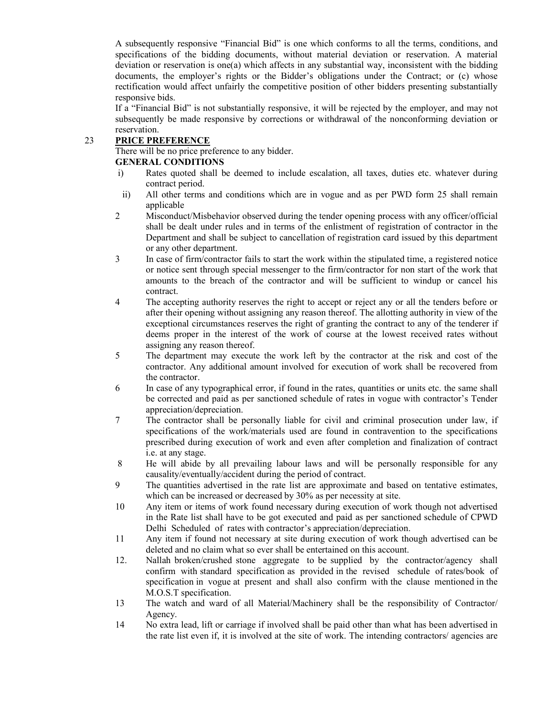A subsequently responsive "Financial Bid" is one which conforms to all the terms, conditions, and specifications of the bidding documents, without material deviation or reservation. A material deviation or reservation is one(a) which affects in any substantial way, inconsistent with the bidding documents, the employer's rights or the Bidder's obligations under the Contract; or (c) whose rectification would affect unfairly the competitive position of other bidders presenting substantially responsive bids.

If a "Financial Bid" is not substantially responsive, it will be rejected by the employer, and may not subsequently be made responsive by corrections or withdrawal of the nonconforming deviation or reservation.

#### 23 PRICE PREFERENCE

There will be no price preference to any bidder.

#### GENERAL CONDITIONS

- i) Rates quoted shall be deemed to include escalation, all taxes, duties etc. whatever during contract period.
- ii) All other terms and conditions which are in vogue and as per PWD form 25 shall remain applicable
- 2 Misconduct/Misbehavior observed during the tender opening process with any officer/official shall be dealt under rules and in terms of the enlistment of registration of contractor in the Department and shall be subject to cancellation of registration card issued by this department or any other department.
- 3 In case of firm/contractor fails to start the work within the stipulated time, a registered notice or notice sent through special messenger to the firm/contractor for non start of the work that amounts to the breach of the contractor and will be sufficient to windup or cancel his contract.
- 4 The accepting authority reserves the right to accept or reject any or all the tenders before or after their opening without assigning any reason thereof. The allotting authority in view of the exceptional circumstances reserves the right of granting the contract to any of the tenderer if deems proper in the interest of the work of course at the lowest received rates without assigning any reason thereof.
- 5 The department may execute the work left by the contractor at the risk and cost of the contractor. Any additional amount involved for execution of work shall be recovered from the contractor.
- 6 In case of any typographical error, if found in the rates, quantities or units etc. the same shall be corrected and paid as per sanctioned schedule of rates in vogue with contractor's Tender appreciation/depreciation.
- 7 The contractor shall be personally liable for civil and criminal prosecution under law, if specifications of the work/materials used are found in contravention to the specifications prescribed during execution of work and even after completion and finalization of contract i.e. at any stage.
- 8 He will abide by all prevailing labour laws and will be personally responsible for any causality/eventually/accident during the period of contract.
- 9 The quantities advertised in the rate list are approximate and based on tentative estimates, which can be increased or decreased by 30% as per necessity at site.
- 10 Any item or items of work found necessary during execution of work though not advertised in the Rate list shall have to be got executed and paid as per sanctioned schedule of CPWD Delhi Scheduled of rates with contractor's appreciation/depreciation.
- 11 Any item if found not necessary at site during execution of work though advertised can be deleted and no claim what so ever shall be entertained on this account.
- 12. Nallah broken/crushed stone aggregate to be supplied by the contractor/agency shall confirm with standard specification as provided in the revised schedule of rates/book of specification in vogue at present and shall also confirm with the clause mentioned in the M.O.S.T specification.
- 13 The watch and ward of all Material/Machinery shall be the responsibility of Contractor/ Agency.
- 14 No extra lead, lift or carriage if involved shall be paid other than what has been advertised in the rate list even if, it is involved at the site of work. The intending contractors/ agencies are